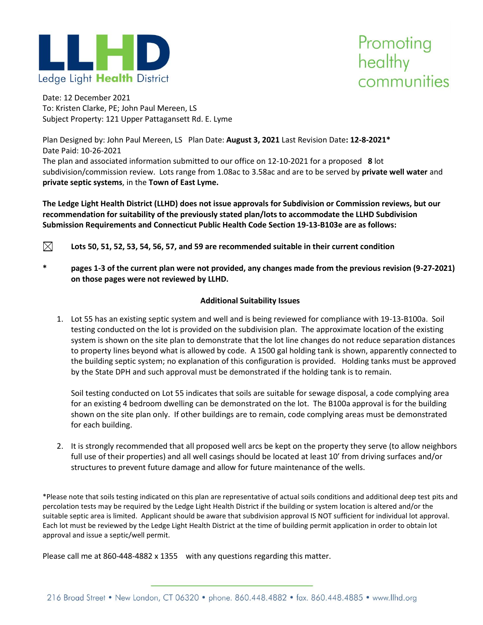



Date: 12 December 2021 To: Kristen Clarke, PE; John Paul Mereen, LS Subject Property: 121 Upper Pattagansett Rd. E. Lyme

Plan Designed by: John Paul Mereen, LS Plan Date: **August 3, 2021** Last Revision Date**: 12-8-2021\*** Date Paid: 10-26-2021

The plan and associated information submitted to our office on 12-10-2021 for a proposed **8** lot subdivision/commission review. Lots range from 1.08ac to 3.58ac and are to be served by **private well water** and **private septic systems**, in the **Town of East Lyme.**

**The Ledge Light Health District (LLHD) does not issue approvals for Subdivision or Commission reviews, but our recommendation for suitability of the previously stated plan/lots to accommodate the LLHD Subdivision Submission Requirements and Connecticut Public Health Code Section 19-13-B103e are as follows:**

- $\boxtimes$
- **Lots 50, 51, 52, 53, 54, 56, 57, and 59 are recommended suitable in their current condition**
- **\* pages 1-3 of the current plan were not provided, any changes made from the previous revision (9-27-2021) on those pages were not reviewed by LLHD.**

## **Additional Suitability Issues**

1. Lot 55 has an existing septic system and well and is being reviewed for compliance with 19-13-B100a. Soil testing conducted on the lot is provided on the subdivision plan. The approximate location of the existing system is shown on the site plan to demonstrate that the lot line changes do not reduce separation distances to property lines beyond what is allowed by code. A 1500 gal holding tank is shown, apparently connected to the building septic system; no explanation of this configuration is provided. Holding tanks must be approved by the State DPH and such approval must be demonstrated if the holding tank is to remain.

Soil testing conducted on Lot 55 indicates that soils are suitable for sewage disposal, a code complying area for an existing 4 bedroom dwelling can be demonstrated on the lot. The B100a approval is for the building shown on the site plan only. If other buildings are to remain, code complying areas must be demonstrated for each building.

2. It is strongly recommended that all proposed well arcs be kept on the property they serve (to allow neighbors full use of their properties) and all well casings should be located at least 10' from driving surfaces and/or structures to prevent future damage and allow for future maintenance of the wells.

\*Please note that soils testing indicated on this plan are representative of actual soils conditions and additional deep test pits and percolation tests may be required by the Ledge Light Health District if the building or system location is altered and/or the suitable septic area is limited. Applicant should be aware that subdivision approval IS NOT sufficient for individual lot approval. Each lot must be reviewed by the Ledge Light Health District at the time of building permit application in order to obtain lot approval and issue a septic/well permit.

Please call me at 860-448-4882 x 1355 with any questions regarding this matter.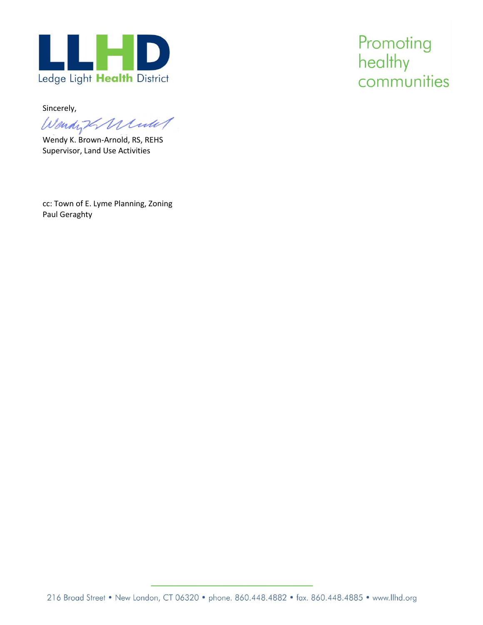

Sincerely,

Wendight Minute

Wendy K. Brown-Arnold, RS, REHS Supervisor, Land Use Activities

cc: Town of E. Lyme Planning, Zoning Paul Geraghty

Promoting healthy communities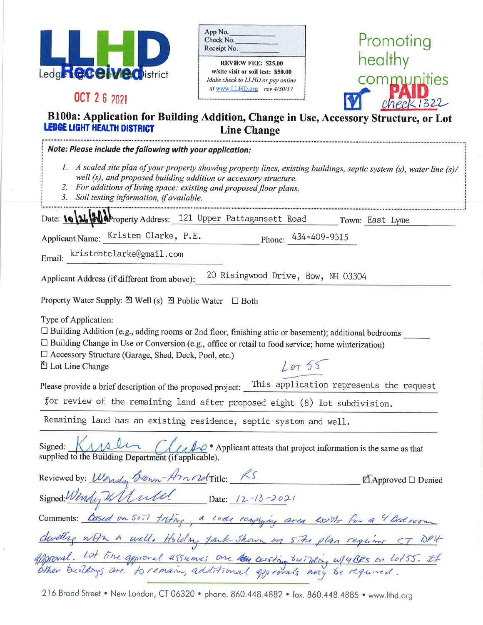| Ledge <b>GGG</b> | <b>OD</b> istrict |
|------------------|-------------------|

OCT 2 6 2021

| App No.     |                    |
|-------------|--------------------|
| Check No.   |                    |
| Receipt No. |                    |
|             | REVIEW FFF• €95 AA |

w/site visit or soil test: \$50.00 Make check to LLHD or pay online at www.LLHD.org rev 4/30/17



## B100a: Application for Building Addition, Change in Use, Accessory Structure, or Lot LEDGE LIGHT HEALTH DISTRICT **Line Change**

| Note: Please include the following with your application:                                                                                                                                                                                                                                                                           |
|-------------------------------------------------------------------------------------------------------------------------------------------------------------------------------------------------------------------------------------------------------------------------------------------------------------------------------------|
| 1. A scaled site plan of your property showing property lines, existing buildings, septic system (s), water line (s)/<br>well (s), and proposed building addition or accessory structure.<br>2. For additions of living space: existing and proposed floor plans.<br>3. Soil testing information, if available.                     |
| Date: 10 26 20 Property Address: 121 Upper Pattagansett Road Town: East Lyme                                                                                                                                                                                                                                                        |
| Applicant Name: Kristen Clarke, P.E.<br>Phone: $434-409-9515$                                                                                                                                                                                                                                                                       |
| Email: kristentclarke@gmail.com                                                                                                                                                                                                                                                                                                     |
| 20 Risingwood Drive, Bow, NH 03304<br>Applicant Address (if different from above):                                                                                                                                                                                                                                                  |
| Property Water Supply: $\mathfrak{D}$ Well (s) $\mathfrak{D}$ Public Water $\Box$ Both                                                                                                                                                                                                                                              |
| Type of Application:<br>□ Building Addition (e.g., adding rooms or 2nd floor, finishing attic or basement); additional bedrooms<br>$\Box$ Building Change in Use or Conversion (e.g., office or retail to food service; home winterization)<br>□ Accessory Structure (Garage, Shed, Deck, Pool, etc.)<br>Lor55<br>凹 Lot Line Change |
| Please provide a brief description of the proposed project: This application represents the request<br>for review of the remaining land after proposed eight (8) lot subdivision.                                                                                                                                                   |
| Remaining land has an existing residence, septic system and well.                                                                                                                                                                                                                                                                   |
| Signed: KAMLI CLarke * Applicant attests that project information is the same as that<br>supplied to the Building Department (if applicable).                                                                                                                                                                                       |
| $\Box$ Approved $\Box$ Denied                                                                                                                                                                                                                                                                                                       |
| Reviewed by: Wondy Brown-Amoud Title: RS<br>Signed: Wondy Wardel Date: 12-13-2021                                                                                                                                                                                                                                                   |
| Comments: Based on so.7 testing, a code complying area exists for a 4 Bedroom                                                                                                                                                                                                                                                       |
| dwelling with a well. Holding tank shown on site plan requires CT DP4                                                                                                                                                                                                                                                               |
| offproval. Lot line approval assumes one the unsting building w/4BRs on Lot55. If                                                                                                                                                                                                                                                   |

216 Broad Street . New London, CT 06320 . phone. 860.448.4882 . fax. 860.448.4885 . www.llhd.org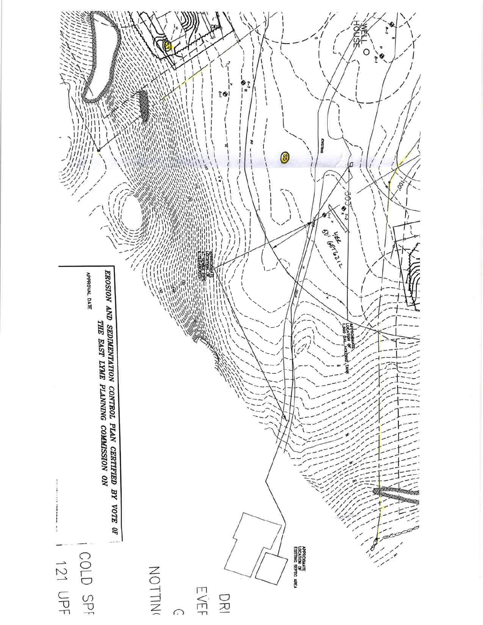